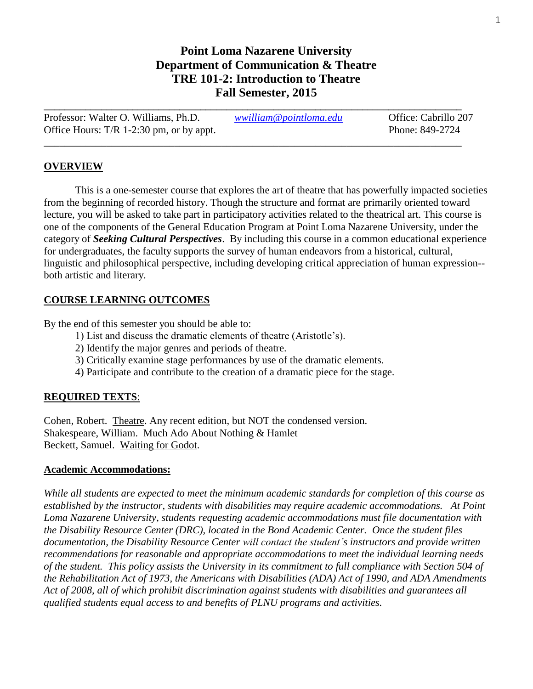## **Point Loma Nazarene University Department of Communication & Theatre TRE 101-2: Introduction to Theatre Fall Semester, 2015**

| Professor: Walter O. Williams, Ph.D.       | wwilliam@pointloma.edu | Office: Cabrillo 207 |
|--------------------------------------------|------------------------|----------------------|
| Office Hours: $T/R$ 1-2:30 pm, or by appt. |                        | Phone: 849-2724      |
|                                            |                        |                      |

**\_\_\_\_\_\_\_\_\_\_\_\_\_\_\_\_\_\_\_\_\_\_\_\_\_\_\_\_\_\_\_\_\_\_\_\_\_\_\_\_\_\_\_\_\_\_\_\_\_\_\_\_\_\_\_\_\_\_\_\_\_\_\_\_\_\_\_\_\_\_\_\_\_\_\_\_\_\_\_\_**

#### **OVERVIEW**

This is a one-semester course that explores the art of theatre that has powerfully impacted societies from the beginning of recorded history. Though the structure and format are primarily oriented toward lecture, you will be asked to take part in participatory activities related to the theatrical art. This course is one of the components of the General Education Program at Point Loma Nazarene University, under the category of *Seeking Cultural Perspectives*. By including this course in a common educational experience for undergraduates, the faculty supports the survey of human endeavors from a historical, cultural, linguistic and philosophical perspective, including developing critical appreciation of human expression- both artistic and literary.

#### **COURSE LEARNING OUTCOMES**

By the end of this semester you should be able to:

- 1) List and discuss the dramatic elements of theatre (Aristotle's).
- 2) Identify the major genres and periods of theatre.
- 3) Critically examine stage performances by use of the dramatic elements.
- 4) Participate and contribute to the creation of a dramatic piece for the stage.

#### **REQUIRED TEXTS**:

Cohen, Robert. Theatre. Any recent edition, but NOT the condensed version. Shakespeare, William. Much Ado About Nothing & Hamlet Beckett, Samuel. Waiting for Godot.

#### **Academic Accommodations:**

*While all students are expected to meet the minimum academic standards for completion of this course as established by the instructor, students with disabilities may require academic accommodations. At Point Loma Nazarene University, students requesting academic accommodations must file documentation with the Disability Resource Center (DRC), located in the Bond Academic Center. Once the student files documentation, the Disability Resource Center will contact the student's instructors and provide written recommendations for reasonable and appropriate accommodations to meet the individual learning needs of the student. This policy assists the University in its commitment to full compliance with Section 504 of the Rehabilitation Act of 1973, the Americans with Disabilities (ADA) Act of 1990, and ADA Amendments Act of 2008, all of which prohibit discrimination against students with disabilities and guarantees all qualified students equal access to and benefits of PLNU programs and activities.*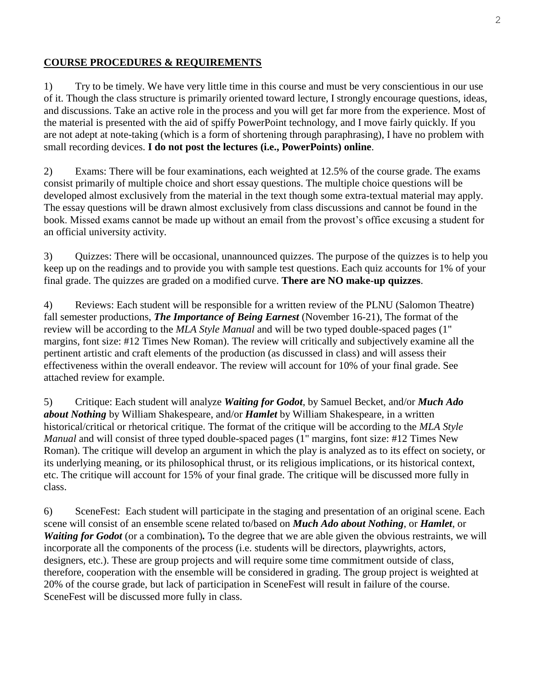### **COURSE PROCEDURES & REQUIREMENTS**

1) Try to be timely. We have very little time in this course and must be very conscientious in our use of it. Though the class structure is primarily oriented toward lecture, I strongly encourage questions, ideas, and discussions. Take an active role in the process and you will get far more from the experience. Most of the material is presented with the aid of spiffy PowerPoint technology, and I move fairly quickly. If you are not adept at note-taking (which is a form of shortening through paraphrasing), I have no problem with small recording devices. **I do not post the lectures (i.e., PowerPoints) online**.

2) Exams: There will be four examinations, each weighted at 12.5% of the course grade. The exams consist primarily of multiple choice and short essay questions. The multiple choice questions will be developed almost exclusively from the material in the text though some extra-textual material may apply. The essay questions will be drawn almost exclusively from class discussions and cannot be found in the book. Missed exams cannot be made up without an email from the provost's office excusing a student for an official university activity.

3) Quizzes: There will be occasional, unannounced quizzes. The purpose of the quizzes is to help you keep up on the readings and to provide you with sample test questions. Each quiz accounts for 1% of your final grade. The quizzes are graded on a modified curve. **There are NO make-up quizzes**.

4) Reviews: Each student will be responsible for a written review of the PLNU (Salomon Theatre) fall semester productions, *The Importance of Being Earnest* (November 16-21), The format of the review will be according to the *MLA Style Manual* and will be two typed double-spaced pages (1" margins, font size: #12 Times New Roman). The review will critically and subjectively examine all the pertinent artistic and craft elements of the production (as discussed in class) and will assess their effectiveness within the overall endeavor. The review will account for 10% of your final grade. See attached review for example.

5) Critique: Each student will analyze *Waiting for Godot*, by Samuel Becket, and/or *Much Ado about Nothing* by William Shakespeare, and/or *Hamlet* by William Shakespeare, in a written historical/critical or rhetorical critique. The format of the critique will be according to the *MLA Style Manual* and will consist of three typed double-spaced pages (1" margins, font size: #12 Times New Roman). The critique will develop an argument in which the play is analyzed as to its effect on society, or its underlying meaning, or its philosophical thrust, or its religious implications, or its historical context, etc. The critique will account for 15% of your final grade. The critique will be discussed more fully in class.

6) SceneFest: Each student will participate in the staging and presentation of an original scene. Each scene will consist of an ensemble scene related to/based on *Much Ado about Nothing*, or *Hamlet*, or *Waiting for Godot* (or a combination). To the degree that we are able given the obvious restraints, we will incorporate all the components of the process (i.e. students will be directors, playwrights, actors, designers, etc.). These are group projects and will require some time commitment outside of class, therefore, cooperation with the ensemble will be considered in grading. The group project is weighted at 20% of the course grade, but lack of participation in SceneFest will result in failure of the course. SceneFest will be discussed more fully in class.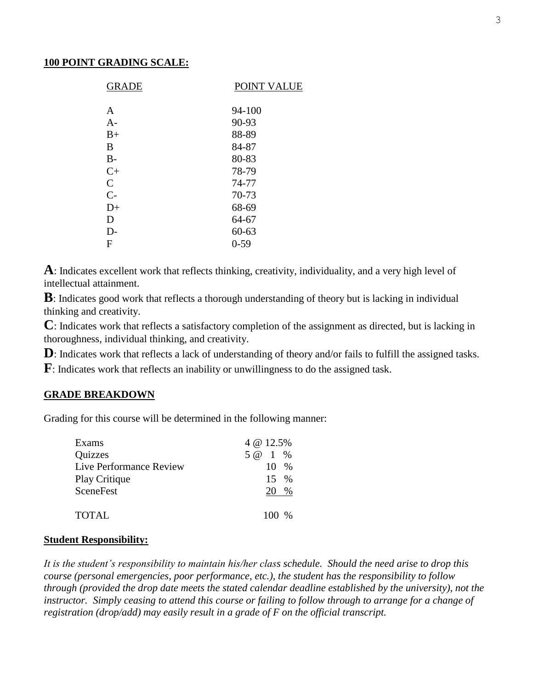#### **100 POINT GRADING SCALE:**

| <b>GRADE</b>  | POINT VALUE |
|---------------|-------------|
|               |             |
| A             | 94-100      |
| $A-$          | 90-93       |
| $B+$          | 88-89       |
| В             | 84-87       |
| $B-$          | 80-83       |
| $C+$          | 78-79       |
| $\mathcal{C}$ | 74-77       |
| $C-$          | 70-73       |
| $D+$          | 68-69       |
| D             | 64-67       |
| D-            | $60 - 63$   |
| F             | $0 - 59$    |
|               |             |

**A**: Indicates excellent work that reflects thinking, creativity, individuality, and a very high level of intellectual attainment.

**B**: Indicates good work that reflects a thorough understanding of theory but is lacking in individual thinking and creativity.

**C**: Indicates work that reflects a satisfactory completion of the assignment as directed, but is lacking in thoroughness, individual thinking, and creativity.

**D**: Indicates work that reflects a lack of understanding of theory and/or fails to fulfill the assigned tasks.

**F**: Indicates work that reflects an inability or unwillingness to do the assigned task.

#### **GRADE BREAKDOWN**

Grading for this course will be determined in the following manner:

| Exams                   | 4 @ 12.5%        |  |
|-------------------------|------------------|--|
| Quizzes                 | 5 @ 1 %          |  |
| Live Performance Review | $10 \frac{9}{6}$ |  |
| Play Critique           | $15 \frac{9}{6}$ |  |
| SceneFest               | 20 %             |  |
| TOTAL                   | 100 %            |  |

#### **Student Responsibility:**

*It is the student's responsibility to maintain his/her class schedule. Should the need arise to drop this course (personal emergencies, poor performance, etc.), the student has the responsibility to follow through (provided the drop date meets the stated calendar deadline established by the university), not the instructor. Simply ceasing to attend this course or failing to follow through to arrange for a change of registration (drop/add) may easily result in a grade of F on the official transcript.*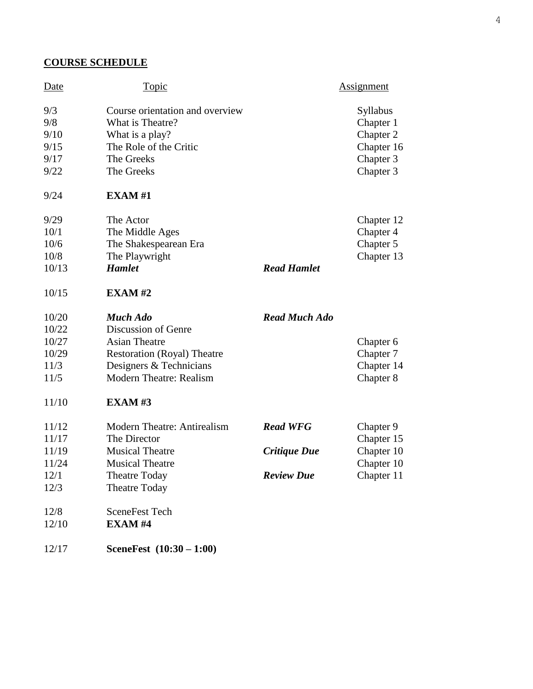## **COURSE SCHEDULE**

| Date  | <u>Topic</u>                       |                      | Assignment      |
|-------|------------------------------------|----------------------|-----------------|
| 9/3   | Course orientation and overview    |                      | <b>Syllabus</b> |
| 9/8   | What is Theatre?                   |                      | Chapter 1       |
| 9/10  | What is a play?                    |                      | Chapter 2       |
| 9/15  | The Role of the Critic             |                      | Chapter 16      |
| 9/17  | The Greeks                         |                      | Chapter 3       |
| 9/22  | The Greeks                         |                      | Chapter 3       |
| 9/24  | EXAMPLEXAM#1                       |                      |                 |
| 9/29  | The Actor                          |                      | Chapter 12      |
| 10/1  | The Middle Ages                    |                      | Chapter 4       |
| 10/6  | The Shakespearean Era              |                      | Chapter 5       |
| 10/8  | The Playwright                     |                      | Chapter 13      |
| 10/13 | <b>Hamlet</b>                      | <b>Read Hamlet</b>   |                 |
| 10/15 | <b>EXAM#2</b>                      |                      |                 |
| 10/20 | <b>Much Ado</b>                    | <b>Read Much Ado</b> |                 |
| 10/22 | Discussion of Genre                |                      |                 |
| 10/27 | <b>Asian Theatre</b>               |                      | Chapter 6       |
| 10/29 | <b>Restoration (Royal) Theatre</b> |                      | Chapter 7       |
| 11/3  | Designers & Technicians            |                      | Chapter 14      |
| 11/5  | <b>Modern Theatre: Realism</b>     |                      | Chapter 8       |
| 11/10 | <b>EXAM#3</b>                      |                      |                 |
| 11/12 | <b>Modern Theatre: Antirealism</b> | <b>Read WFG</b>      | Chapter 9       |
| 11/17 | The Director                       |                      | Chapter 15      |
| 11/19 | <b>Musical Theatre</b>             | Critique Due         | Chapter 10      |
| 11/24 | <b>Musical Theatre</b>             |                      | Chapter 10      |
| 12/1  | <b>Theatre Today</b>               | <b>Review Due</b>    | Chapter 11      |
| 12/3  | <b>Theatre Today</b>               |                      |                 |
| 12/8  | <b>SceneFest Tech</b>              |                      |                 |
| 12/10 | <b>EXAM#4</b>                      |                      |                 |
|       |                                    |                      |                 |

12/17 **SceneFest (10:30 – 1:00)**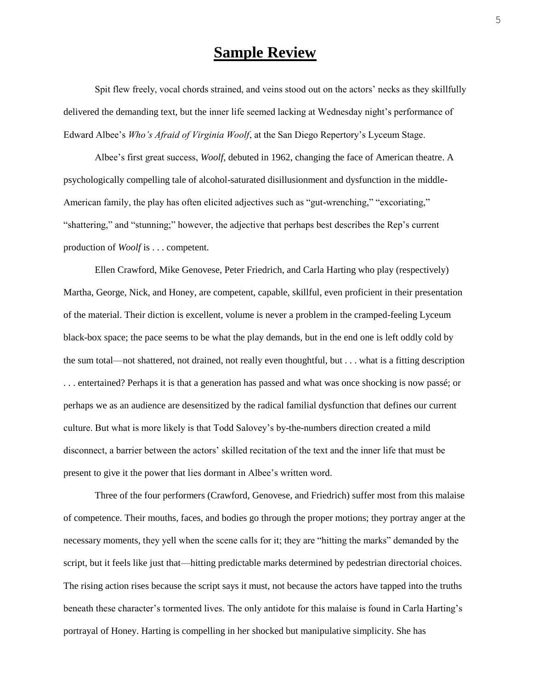# **Sample Review**

Spit flew freely, vocal chords strained, and veins stood out on the actors' necks as they skillfully delivered the demanding text, but the inner life seemed lacking at Wednesday night's performance of Edward Albee's *Who's Afraid of Virginia Woolf*, at the San Diego Repertory's Lyceum Stage.

Albee's first great success, *Woolf*, debuted in 1962, changing the face of American theatre. A psychologically compelling tale of alcohol-saturated disillusionment and dysfunction in the middle-American family, the play has often elicited adjectives such as "gut-wrenching," "excoriating," "shattering," and "stunning;" however, the adjective that perhaps best describes the Rep's current production of *Woolf* is . . . competent.

Ellen Crawford, Mike Genovese, Peter Friedrich, and Carla Harting who play (respectively) Martha, George, Nick, and Honey, are competent, capable, skillful, even proficient in their presentation of the material. Their diction is excellent, volume is never a problem in the cramped-feeling Lyceum black-box space; the pace seems to be what the play demands, but in the end one is left oddly cold by the sum total—not shattered, not drained, not really even thoughtful, but . . . what is a fitting description . . . entertained? Perhaps it is that a generation has passed and what was once shocking is now passé; or perhaps we as an audience are desensitized by the radical familial dysfunction that defines our current culture. But what is more likely is that Todd Salovey's by-the-numbers direction created a mild disconnect, a barrier between the actors' skilled recitation of the text and the inner life that must be present to give it the power that lies dormant in Albee's written word.

Three of the four performers (Crawford, Genovese, and Friedrich) suffer most from this malaise of competence. Their mouths, faces, and bodies go through the proper motions; they portray anger at the necessary moments, they yell when the scene calls for it; they are "hitting the marks" demanded by the script, but it feels like just that—hitting predictable marks determined by pedestrian directorial choices. The rising action rises because the script says it must, not because the actors have tapped into the truths beneath these character's tormented lives. The only antidote for this malaise is found in Carla Harting's portrayal of Honey. Harting is compelling in her shocked but manipulative simplicity. She has